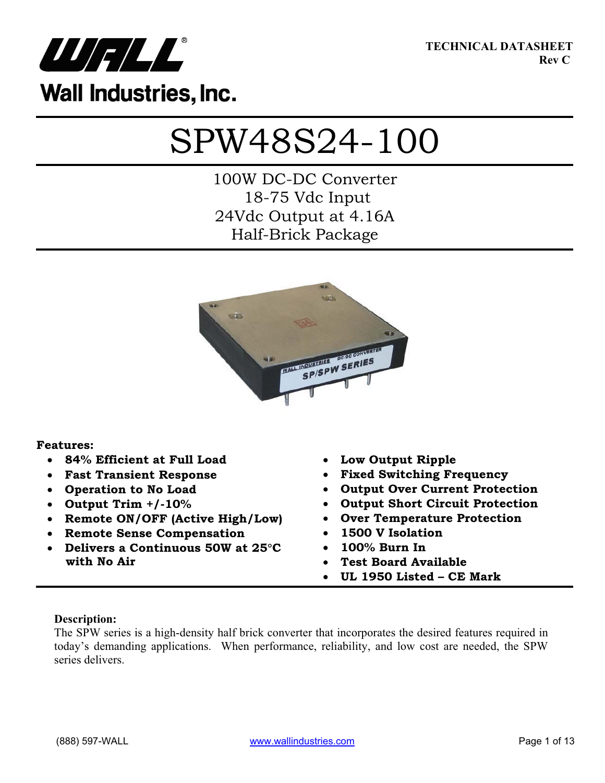

**TECHNICAL DATASHEET Rev C**

# SPW48S24-100

100W DC-DC Converter 18-75 Vdc Input 24Vdc Output at 4.16A Half-Brick Package



### **Features:**

- x **84% Efficient at Full Load**
- x **Fast Transient Response**
- x **Operation to No Load**
- x **Output Trim +/-10%**
- x **Remote ON/OFF (Active High/Low)**
- x **Remote Sense Compensation**
- **•** Delivers a Continuous 50W at 25°C **with No Air**
- x **Low Output Ripple**
- x **Fixed Switching Frequency**
- x **Output Over Current Protection**
- **Output Short Circuit Protection**
- x **Over Temperature Protection**
- x **1500 V Isolation**
- x **100% Burn In**
- x **Test Board Available**
- x **UL 1950 Listed CE Mark**

### **Description:**

The SPW series is a high-density half brick converter that incorporates the desired features required in today's demanding applications. When performance, reliability, and low cost are needed, the SPW series delivers.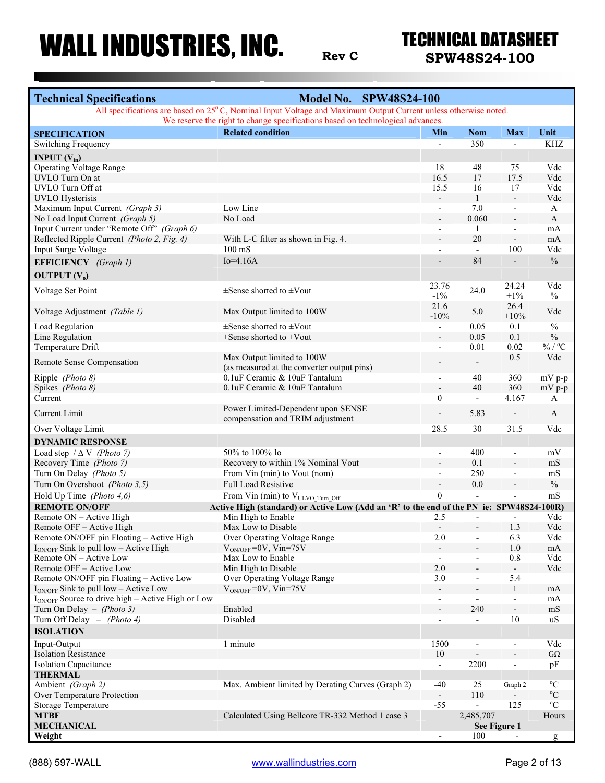**Rev <sup>C</sup> SPW48S24-100**

| <b>Technical Specifications</b>                                                                                                                                                                  | <b>Model No. SPW48S24-100</b>                                                            |                          |                          |                          |                     |  |  |
|--------------------------------------------------------------------------------------------------------------------------------------------------------------------------------------------------|------------------------------------------------------------------------------------------|--------------------------|--------------------------|--------------------------|---------------------|--|--|
| All specifications are based on 25°C, Nominal Input Voltage and Maximum Output Current unless otherwise noted.<br>We reserve the right to change specifications based on technological advances. |                                                                                          |                          |                          |                          |                     |  |  |
| <b>SPECIFICATION</b>                                                                                                                                                                             | <b>Related condition</b>                                                                 | Min                      | <b>Nom</b>               | <b>Max</b>               | Unit                |  |  |
| <b>Switching Frequency</b>                                                                                                                                                                       |                                                                                          | $\overline{\phantom{0}}$ | 350                      | $\overline{\phantom{a}}$ | KHZ                 |  |  |
| <b>INPUT</b> $(V_{in})$                                                                                                                                                                          |                                                                                          |                          |                          |                          |                     |  |  |
| <b>Operating Voltage Range</b>                                                                                                                                                                   |                                                                                          | 18                       | 48                       | 75                       | Vdc                 |  |  |
| UVLO Turn On at                                                                                                                                                                                  |                                                                                          | 16.5                     | 17                       | 17.5                     | Vdc                 |  |  |
| UVLO Turn Off at                                                                                                                                                                                 |                                                                                          | 15.5                     | 16                       | 17                       | Vdc                 |  |  |
| <b>UVLO</b> Hysterisis                                                                                                                                                                           |                                                                                          | $\overline{\phantom{a}}$ | $\mathbf{1}$             | $\overline{\phantom{a}}$ | Vdc                 |  |  |
| Maximum Input Current (Graph 3)                                                                                                                                                                  | Low Line                                                                                 | $\blacksquare$           | 7.0                      | $\overline{\phantom{a}}$ | A                   |  |  |
| No Load Input Current (Graph 5)                                                                                                                                                                  | No Load                                                                                  | $\overline{\phantom{a}}$ | 0.060                    | $\Box$                   | $\mathbf{A}$        |  |  |
| Input Current under "Remote Off" (Graph 6)                                                                                                                                                       |                                                                                          | $\overline{\phantom{a}}$ | 1                        | $\overline{\phantom{a}}$ | mA                  |  |  |
| Reflected Ripple Current (Photo 2, Fig. 4)                                                                                                                                                       | With L-C filter as shown in Fig. 4.                                                      |                          | 20                       | $\overline{\phantom{a}}$ | mA                  |  |  |
| Input Surge Voltage                                                                                                                                                                              | $100 \text{ mS}$                                                                         | $\overline{\phantom{a}}$ | $\mathbf{r}$             | 100                      | Vdc                 |  |  |
| EFFICIENCY (Graph 1)                                                                                                                                                                             | $Io=4.16A$                                                                               |                          | 84                       | $\overline{\phantom{a}}$ | $\frac{0}{0}$       |  |  |
| <b>OUTPUT</b> $(V_0)$                                                                                                                                                                            |                                                                                          |                          |                          |                          |                     |  |  |
|                                                                                                                                                                                                  |                                                                                          | 23.76                    |                          | 24.24                    | Vdc                 |  |  |
| Voltage Set Point                                                                                                                                                                                | $\pm$ Sense shorted to $\pm$ Vout                                                        | $-1\%$                   | 24.0                     | $+1\%$                   | $\frac{0}{0}$       |  |  |
|                                                                                                                                                                                                  |                                                                                          | 21.6                     |                          | 26.4                     |                     |  |  |
| Voltage Adjustment (Table 1)                                                                                                                                                                     | Max Output limited to 100W                                                               | $-10%$                   | 5.0                      | $+10%$                   | Vdc                 |  |  |
| Load Regulation                                                                                                                                                                                  | $\pm$ Sense shorted to $\pm$ Vout                                                        | $\blacksquare$           | 0.05                     | 0.1                      | $\frac{0}{0}$       |  |  |
| Line Regulation                                                                                                                                                                                  | $\pm$ Sense shorted to $\pm$ Vout                                                        | $\overline{\phantom{a}}$ | 0.05                     | 0.1                      | $\%$                |  |  |
| Temperature Drift                                                                                                                                                                                |                                                                                          | $\overline{\phantom{a}}$ | 0.01                     | 0.02                     | $\%$ / $^{\circ}$ C |  |  |
| Remote Sense Compensation                                                                                                                                                                        | Max Output limited to 100W                                                               |                          |                          | 0.5                      | Vdc                 |  |  |
|                                                                                                                                                                                                  | (as measured at the converter output pins)                                               |                          |                          |                          |                     |  |  |
| Ripple (Photo 8)                                                                                                                                                                                 | 0.1uF Ceramic & 10uF Tantalum                                                            | $\overline{\phantom{a}}$ | 40                       | 360                      | mV p-p              |  |  |
| Spikes (Photo 8)                                                                                                                                                                                 | 0.1uF Ceramic & 10uF Tantalum                                                            |                          | 40                       | 360                      | $mV p-p$            |  |  |
| Current                                                                                                                                                                                          |                                                                                          | $\mathbf{0}$             | $\overline{\phantom{a}}$ | 4.167                    | А                   |  |  |
| Current Limit                                                                                                                                                                                    | Power Limited-Dependent upon SENSE<br>compensation and TRIM adjustment                   | $\overline{a}$           | 5.83                     | $\overline{\phantom{a}}$ | A                   |  |  |
| Over Voltage Limit                                                                                                                                                                               |                                                                                          | 28.5                     | 30                       | 31.5                     | Vdc                 |  |  |
| <b>DYNAMIC RESPONSE</b>                                                                                                                                                                          |                                                                                          |                          |                          |                          |                     |  |  |
| Load step $/\Delta V$ (Photo 7)                                                                                                                                                                  | 50% to 100% Io                                                                           | $\overline{\phantom{a}}$ | 400                      | $\overline{\phantom{a}}$ | mV                  |  |  |
| Recovery Time (Photo 7)                                                                                                                                                                          | Recovery to within 1% Nominal Vout                                                       |                          | 0.1                      | $\overline{\phantom{a}}$ | mS                  |  |  |
| Turn On Delay (Photo 5)                                                                                                                                                                          | From Vin (min) to Vout (nom)                                                             | $\overline{\phantom{a}}$ | 250                      | $\overline{\phantom{a}}$ | mS                  |  |  |
| Turn On Overshoot (Photo 3,5)                                                                                                                                                                    | <b>Full Load Resistive</b>                                                               |                          | 0.0                      |                          | $\frac{0}{0}$       |  |  |
| Hold Up Time (Photo 4,6)                                                                                                                                                                         | From Vin (min) to VULVO_Turn_Off                                                         | $\mathbf{0}$             |                          |                          | mS                  |  |  |
| <b>REMOTE ON/OFF</b>                                                                                                                                                                             | Active High (standard) or Active Low (Add an 'R' to the end of the PN ie: SPW48S24-100R) |                          |                          |                          |                     |  |  |
| Remote ON - Active High                                                                                                                                                                          | Min High to Enable                                                                       | 2.5                      |                          |                          | Vdc                 |  |  |
| Remote OFF - Active High                                                                                                                                                                         | Max Low to Disable                                                                       |                          |                          | 1.3                      | Vdc                 |  |  |
| Remote ON/OFF pin Floating - Active High                                                                                                                                                         | Over Operating Voltage Range                                                             | 2.0                      | $\overline{\phantom{a}}$ | 6.3                      | Vdc                 |  |  |
| $I_{ON/OFF}$ Sink to pull low – Active High                                                                                                                                                      | $V_{ON/OFF}$ =0V, Vin=75V                                                                |                          |                          | 1.0                      | mA                  |  |  |
| Remote ON - Active Low                                                                                                                                                                           | Max Low to Enable                                                                        | $\overline{\phantom{a}}$ | $\overline{\phantom{a}}$ | 0.8                      | Vdc                 |  |  |
| Remote OFF - Active Low                                                                                                                                                                          | Min High to Disable                                                                      | 2.0                      |                          | $\overline{\phantom{a}}$ | Vdc                 |  |  |
| Remote ON/OFF pin Floating - Active Low                                                                                                                                                          | Over Operating Voltage Range                                                             | 3.0                      | $\overline{\phantom{a}}$ | 5.4                      |                     |  |  |
| $I_{ON/OFF}$ Sink to pull low – Active Low                                                                                                                                                       | $V_{ON/OFF}$ =0V, Vin=75V                                                                |                          |                          | $\mathbf{1}$             | mA                  |  |  |
| I <sub>ON/OFF</sub> Source to drive high - Active High or Low                                                                                                                                    |                                                                                          | $\blacksquare$           | $\blacksquare$           | $\blacksquare$           | mA                  |  |  |
| Turn On Delay $-$ ( <i>Photo 3</i> )                                                                                                                                                             | Enabled                                                                                  |                          | 240                      | $\overline{\phantom{a}}$ | mS                  |  |  |
| Turn Off Delay $-$ (Photo 4)                                                                                                                                                                     | Disabled                                                                                 | $\overline{\phantom{a}}$ | $\overline{\phantom{a}}$ | 10                       | uS                  |  |  |
| <b>ISOLATION</b>                                                                                                                                                                                 |                                                                                          |                          |                          |                          |                     |  |  |
| Input-Output                                                                                                                                                                                     | 1 minute                                                                                 | 1500                     | $\overline{\phantom{a}}$ | $\overline{\phantom{a}}$ | Vdc                 |  |  |
| <b>Isolation Resistance</b>                                                                                                                                                                      |                                                                                          | 10                       |                          |                          | $G\Omega$           |  |  |
| <b>Isolation Capacitance</b>                                                                                                                                                                     |                                                                                          | $\overline{\phantom{a}}$ | 2200                     | $\overline{a}$           | pF                  |  |  |
| <b>THERMAL</b>                                                                                                                                                                                   |                                                                                          |                          |                          |                          |                     |  |  |
| Ambient (Graph 2)                                                                                                                                                                                | Max. Ambient limited by Derating Curves (Graph 2)                                        | $-40$                    | 25                       | Graph 2                  | $\rm ^{o}C$         |  |  |
| Over Temperature Protection                                                                                                                                                                      |                                                                                          |                          | 110                      |                          | $^0C$               |  |  |
| Storage Temperature                                                                                                                                                                              |                                                                                          | $-55$                    | $\Box$                   | 125                      | $\rm ^{o}C$         |  |  |
| <b>MTBF</b>                                                                                                                                                                                      | Calculated Using Bellcore TR-332 Method 1 case 3                                         |                          | 2,485,707                |                          | Hours               |  |  |
| <b>MECHANICAL</b>                                                                                                                                                                                |                                                                                          |                          | 100                      | See Figure 1             |                     |  |  |
| Weight                                                                                                                                                                                           |                                                                                          | $\blacksquare$           |                          |                          | g                   |  |  |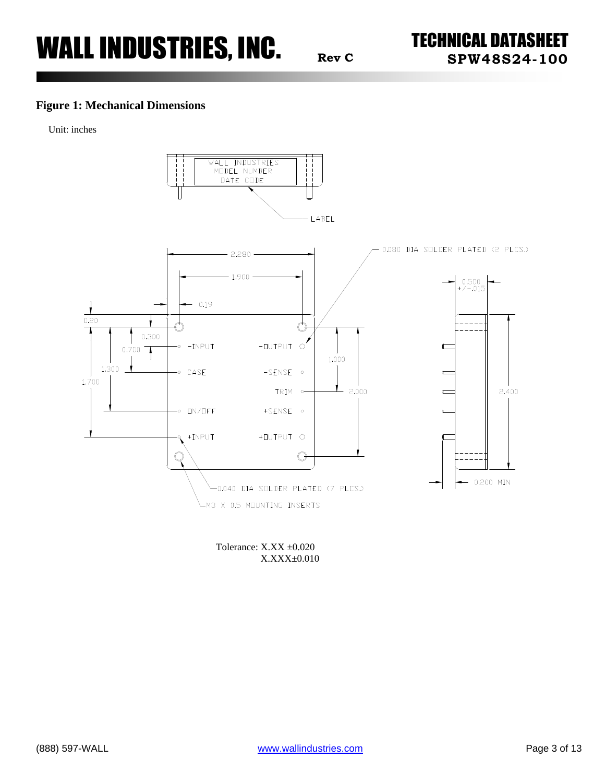### **Figure 1: Mechanical Dimensions**

Unit: inches



Tolerance: X.XX ±0.020 X.XXX±0.010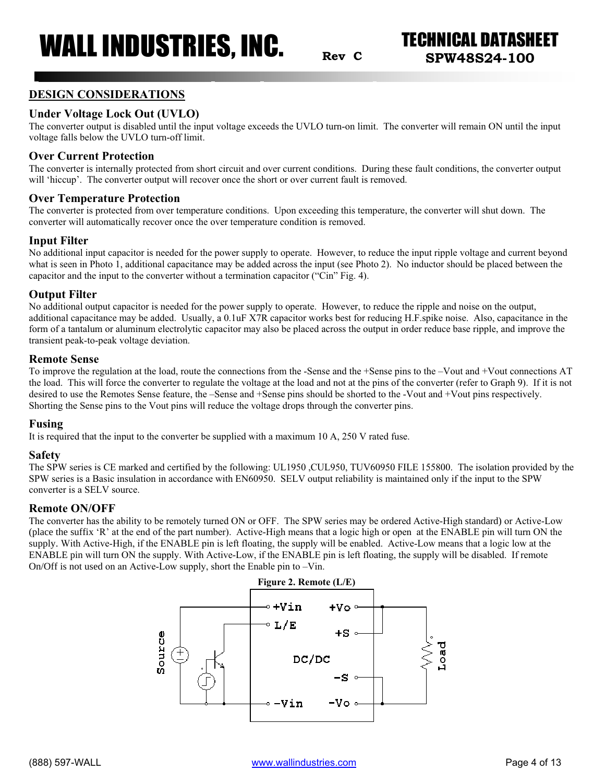**Rev C SPW48S24-100**

### **DESIGN CONSIDERATIONS**

### **Under Voltage Lock Out (UVLO)**

The converter output is disabled until the input voltage exceeds the UVLO turn-on limit. The converter will remain ON until the input voltage falls below the UVLO turn-off limit.

#### **Over Current Protection**

The converter is internally protected from short circuit and over current conditions. During these fault conditions, the converter output will 'hiccup'. The converter output will recover once the short or over current fault is removed.

#### **Over Temperature Protection**

The converter is protected from over temperature conditions. Upon exceeding this temperature, the converter will shut down. The converter will automatically recover once the over temperature condition is removed.

### **Input Filter**

No additional input capacitor is needed for the power supply to operate. However, to reduce the input ripple voltage and current beyond what is seen in Photo 1, additional capacitance may be added across the input (see Photo 2). No inductor should be placed between the capacitor and the input to the converter without a termination capacitor ("Cin" Fig. 4).

### **Output Filter**

No additional output capacitor is needed for the power supply to operate. However, to reduce the ripple and noise on the output, additional capacitance may be added. Usually, a 0.1uF X7R capacitor works best for reducing H.F.spike noise. Also, capacitance in the form of a tantalum or aluminum electrolytic capacitor may also be placed across the output in order reduce base ripple, and improve the transient peak-to-peak voltage deviation.

#### **Remote Sense**

To improve the regulation at the load, route the connections from the -Sense and the +Sense pins to the –Vout and +Vout connections AT the load. This will force the converter to regulate the voltage at the load and not at the pins of the converter (refer to Graph 9). If it is not desired to use the Remotes Sense feature, the –Sense and +Sense pins should be shorted to the -Vout and +Vout pins respectively. Shorting the Sense pins to the Vout pins will reduce the voltage drops through the converter pins.

#### **Fusing**

It is required that the input to the converter be supplied with a maximum 10 A, 250 V rated fuse.

#### **Safety**

The SPW series is CE marked and certified by the following: UL1950 ,CUL950, TUV60950 FILE 155800. The isolation provided by the SPW series is a Basic insulation in accordance with EN60950. SELV output reliability is maintained only if the input to the SPW converter is a SELV source.

#### **Remote ON/OFF**

The converter has the ability to be remotely turned ON or OFF. The SPW series may be ordered Active-High standard) or Active-Low (place the suffix 'R' at the end of the part number). Active-High means that a logic high or open at the ENABLE pin will turn ON the supply. With Active-High, if the ENABLE pin is left floating, the supply will be enabled. Active-Low means that a logic low at the ENABLE pin will turn ON the supply. With Active-Low, if the ENABLE pin is left floating, the supply will be disabled. If remote On/Off is not used on an Active-Low supply, short the Enable pin to –Vin.

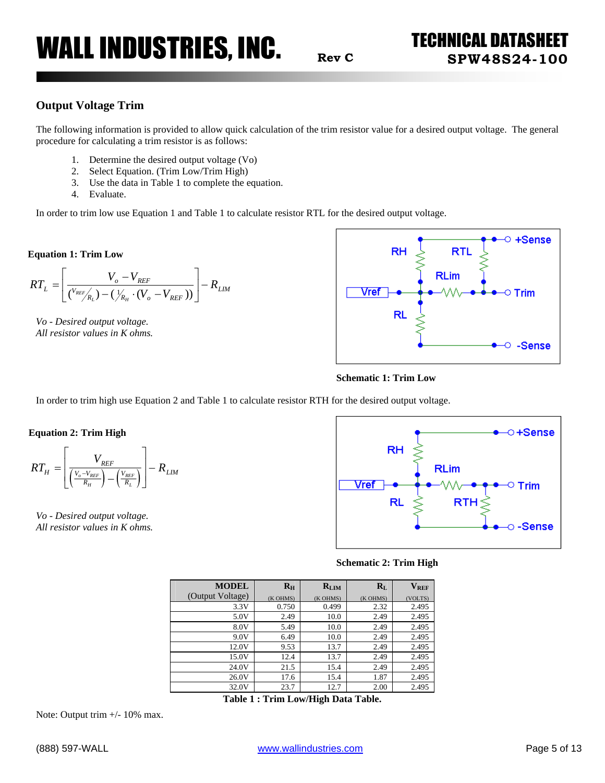### **Output Voltage Trim**

The following information is provided to allow quick calculation of the trim resistor value for a desired output voltage. The general procedure for calculating a trim resistor is as follows:

- 1. Determine the desired output voltage (Vo)
- 2. Select Equation. (Trim Low/Trim High)
- 3. Use the data in Table 1 to complete the equation.
- 4. Evaluate.

In order to trim low use Equation 1 and Table 1 to calculate resistor RTL for the desired output voltage.

#### **Equation 1: Trim Low**

$$
RT_{L} = \left[ \frac{V_{o} - V_{REF}}{(V_{REF}/R_{L}) - (\frac{1}{N_{H}} \cdot (V_{o} - V_{REF}))} \right] - R_{LIM}
$$

*Vo - Desired output voltage. All resistor values in K ohms.*





In order to trim high use Equation 2 and Table 1 to calculate resistor RTH for the desired output voltage.

**Equation 2: Trim High** 

$$
RT_{H} = \left[ \frac{V_{REF}}{\left(\frac{V_{o} - V_{REF}}{R_{H}}\right) - \left(\frac{V_{REF}}{R_{L}}\right)} \right] - R_{LIM}
$$

*Vo - Desired output voltage. All resistor values in K ohms.*



**Schematic 2: Trim High** 

| <b>MODEL</b>     | $R_{\rm H}$ | $R_{LIM}$ | $R_{L}$  | $\mathbf{V}_{\text{REF}}$ |
|------------------|-------------|-----------|----------|---------------------------|
| (Output Voltage) | (K OHMS)    | (K OHMS)  | (K OHMS) | (VOLTS)                   |
| 3.3V             | 0.750       | 0.499     | 2.32     | 2.495                     |
| 5.0V             | 2.49        | 10.0      | 2.49     | 2.495                     |
| 8.0V             | 5.49        | 10.0      | 2.49     | 2.495                     |
| 9.0V             | 6.49        | 10.0      | 2.49     | 2.495                     |
| 12.0V            | 9.53        | 13.7      | 2.49     | 2.495                     |
| 15.0V            | 12.4        | 13.7      | 2.49     | 2.495                     |
| 24.0V            | 21.5        | 15.4      | 2.49     | 2.495                     |
| 26.0V            | 17.6        | 15.4      | 1.87     | 2.495                     |
| 32.0V            | 23.7        | 12.7      | 2.00     | 2.495                     |

**Table 1 : Trim Low/High Data Table.** 

Note: Output trim  $+/- 10\%$  max.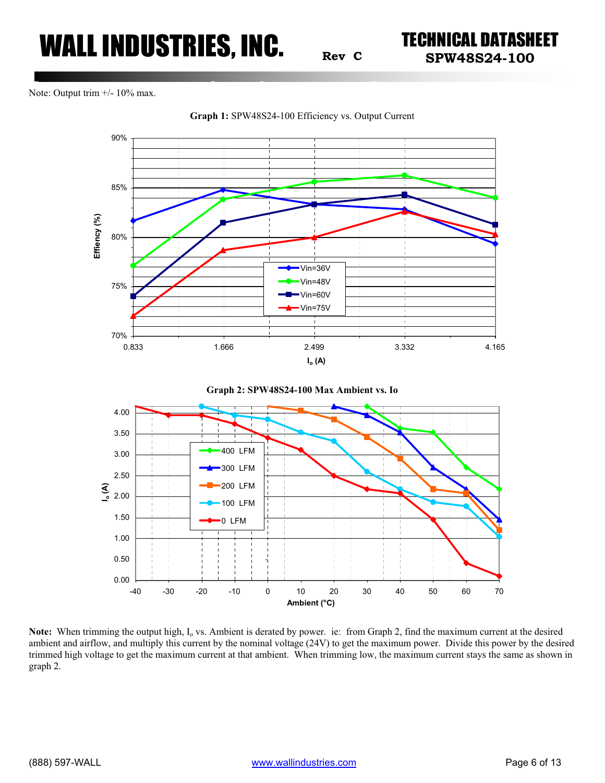**Rev <sup>C</sup> SPW48S24-100**

Note: Output trim  $+/- 10\%$  max.



**Graph 1:** SPW48S24-100 Efficiency vs. Output Current





**Note:** When trimming the output high, I<sub>o</sub> vs. Ambient is derated by power. ie: from Graph 2, find the maximum current at the desired ambient and airflow, and multiply this current by the nominal voltage (24V) to get the maximum power. Divide this power by the desired trimmed high voltage to get the maximum current at that ambient. When trimming low, the maximum current stays the same as shown in graph 2.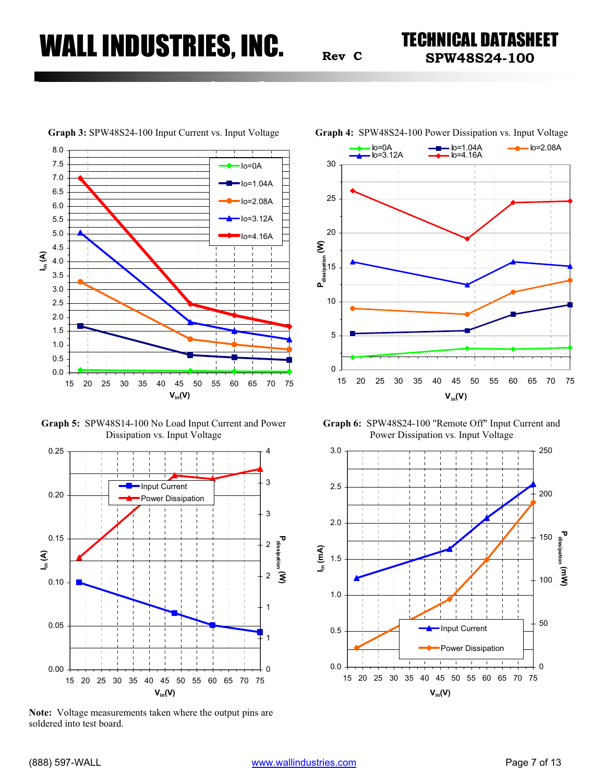**Rev <sup>C</sup> SPW48S24-100**



**Graph 5:** SPW48S14-100 No Load Input Current and Power Dissipation vs. Input Voltage



**Note:** Voltage measurements taken where the output pins are soldered into test board.



**Graph 3:** SPW48S24-100 Input Current vs. Input Voltage **Graph 4:** SPW48S24-100 Power Dissipation vs. Input Voltage

**Graph 6:** SPW48S24-100 "Remote Off" Input Current and Power Dissipation vs. Input Voltage

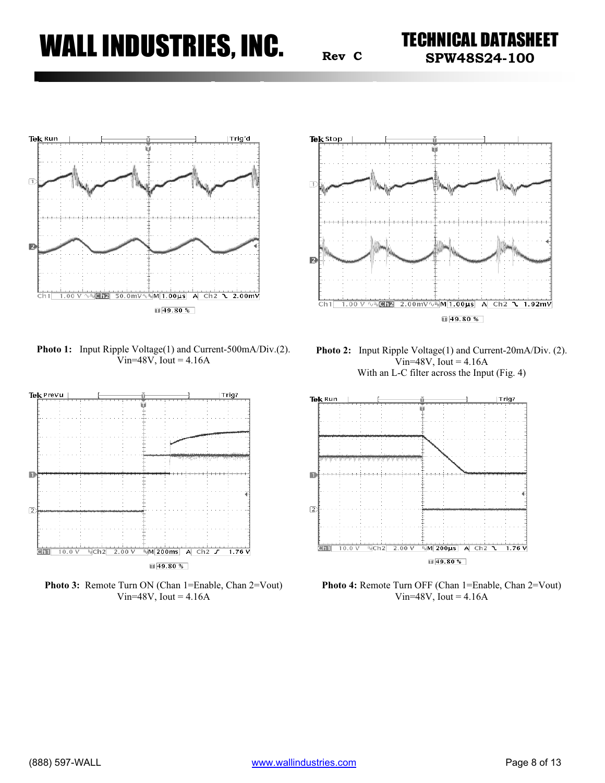**Rev <sup>C</sup> SPW48S24-100**



**Photo 1:** Input Ripple Voltage(1) and Current-500mA/Div.(2). Vin= $48V$ , Iout =  $4.16A$ 



Photo 3: Remote Turn ON (Chan 1=Enable, Chan 2=Vout) Vin=48V, Iout =  $4.16A$ 



**Photo 2:** Input Ripple Voltage(1) and Current-20mA/Div. (2).  $Vir=48V$ , Iout = 4.16A With an L-C filter across the Input (Fig. 4)



Photo 4: Remote Turn OFF (Chan 1=Enable, Chan 2=Vout) Vin= $48V$ , Iout =  $4.16A$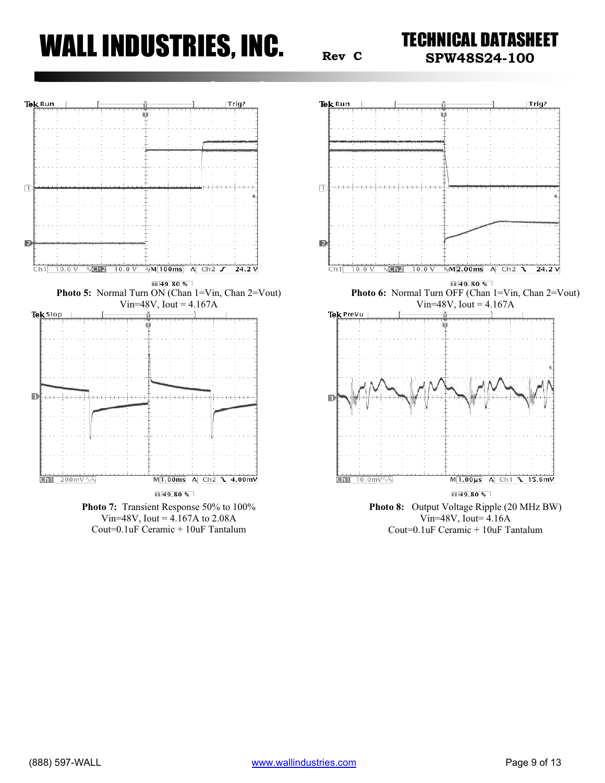**Rev <sup>C</sup> SPW48S24-100**



Cout=0.1uF Ceramic + 10uF Tantalum



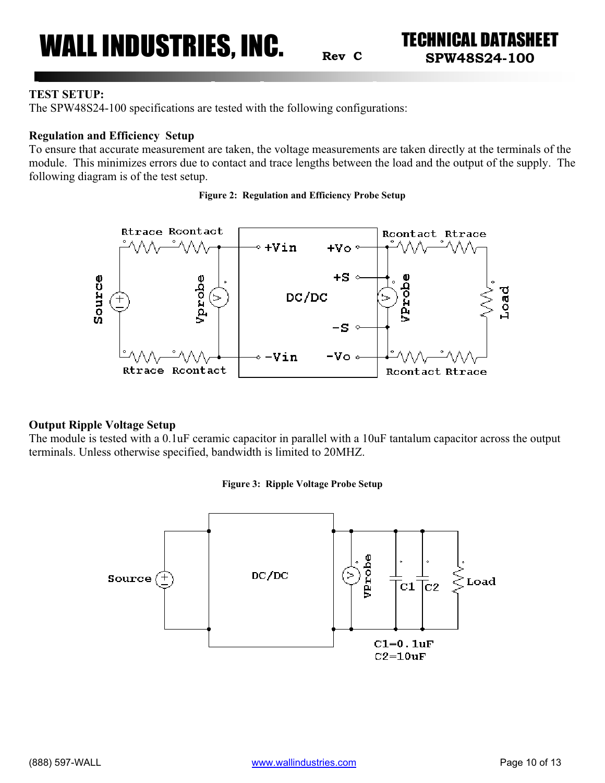**Rev <sup>C</sup> SPW48S24-100**

### **TEST SETUP:**

The SPW48S24-100 specifications are tested with the following configurations:

### **Regulation and Efficiency Setup**

To ensure that accurate measurement are taken, the voltage measurements are taken directly at the terminals of the module. This minimizes errors due to contact and trace lengths between the load and the output of the supply. The following diagram is of the test setup.





### **Output Ripple Voltage Setup**

The module is tested with a 0.1uF ceramic capacitor in parallel with a 10uF tantalum capacitor across the output terminals. Unless otherwise specified, bandwidth is limited to 20MHZ.

### **Figure 3: Ripple Voltage Probe Setup**

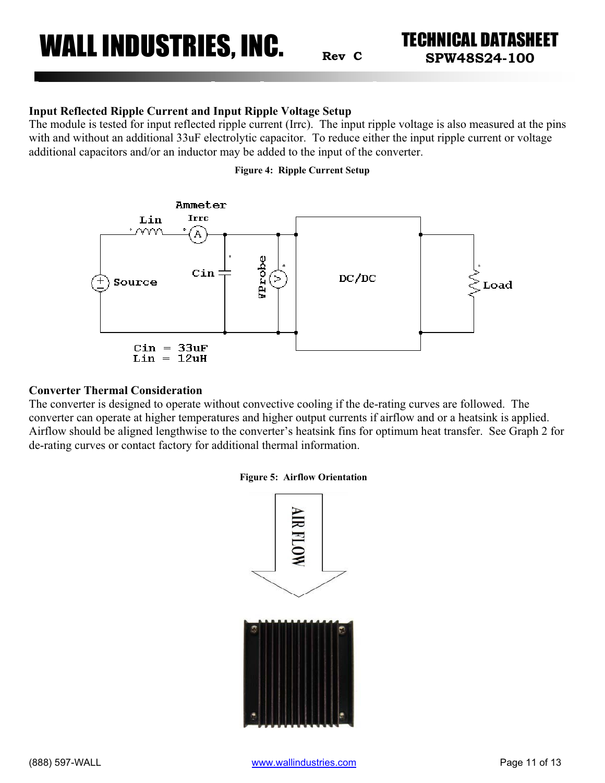**Rev <sup>C</sup> SPW48S24-100**

### **Input Reflected Ripple Current and Input Ripple Voltage Setup**

The module is tested for input reflected ripple current (Irrc). The input ripple voltage is also measured at the pins with and without an additional 33uF electrolytic capacitor. To reduce either the input ripple current or voltage additional capacitors and/or an inductor may be added to the input of the converter.

#### **Figure 4: Ripple Current Setup**



#### **Converter Thermal Consideration**

The converter is designed to operate without convective cooling if the de-rating curves are followed. The converter can operate at higher temperatures and higher output currents if airflow and or a heatsink is applied. Airflow should be aligned lengthwise to the converter's heatsink fins for optimum heat transfer. See Graph 2 for de-rating curves or contact factory for additional thermal information.

#### **Figure 5: Airflow Orientation**

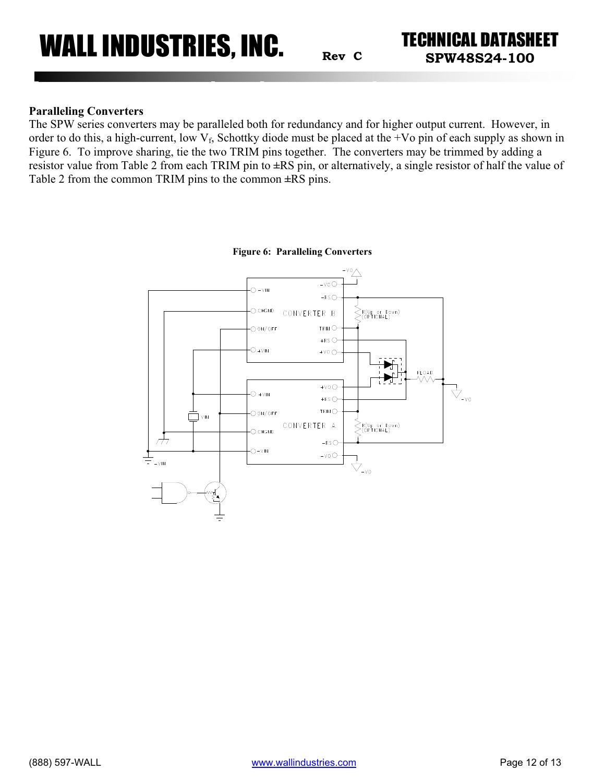**Rev <sup>C</sup> SPW48S24-100**

### **Paralleling Converters**

The SPW series converters may be paralleled both for redundancy and for higher output current. However, in order to do this, a high-current, low  $V_f$ , Schottky diode must be placed at the +Vo pin of each supply as shown in Figure 6. To improve sharing, tie the two TRIM pins together. The converters may be trimmed by adding a resistor value from Table 2 from each TRIM pin to **±**RS pin, or alternatively, a single resistor of half the value of Table 2 from the common TRIM pins to the common **±**RS pins.